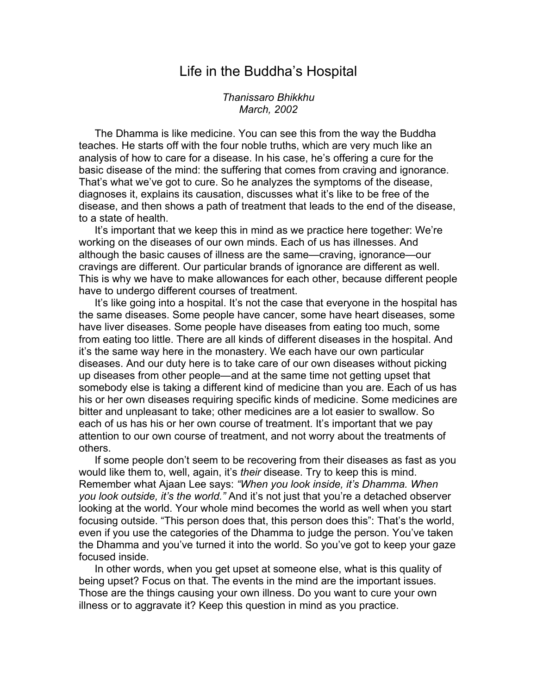## Life in the Buddha's Hospital

## *Thanissaro Bhikkhu March, 2002*

The Dhamma is like medicine. You can see this from the way the Buddha teaches. He starts off with the four noble truths, which are very much like an analysis of how to care for a disease. In his case, he's offering a cure for the basic disease of the mind: the suffering that comes from craving and ignorance. That's what we've got to cure. So he analyzes the symptoms of the disease, diagnoses it, explains its causation, discusses what it's like to be free of the disease, and then shows a path of treatment that leads to the end of the disease, to a state of health.

It's important that we keep this in mind as we practice here together: We're working on the diseases of our own minds. Each of us has illnesses. And although the basic causes of illness are the same—craving, ignorance—our cravings are different. Our particular brands of ignorance are different as well. This is why we have to make allowances for each other, because different people have to undergo different courses of treatment.

It's like going into a hospital. It's not the case that everyone in the hospital has the same diseases. Some people have cancer, some have heart diseases, some have liver diseases. Some people have diseases from eating too much, some from eating too little. There are all kinds of different diseases in the hospital. And it's the same way here in the monastery. We each have our own particular diseases. And our duty here is to take care of our own diseases without picking up diseases from other people—and at the same time not getting upset that somebody else is taking a different kind of medicine than you are. Each of us has his or her own diseases requiring specific kinds of medicine. Some medicines are bitter and unpleasant to take; other medicines are a lot easier to swallow. So each of us has his or her own course of treatment. It's important that we pay attention to our own course of treatment, and not worry about the treatments of others.

If some people don't seem to be recovering from their diseases as fast as you would like them to, well, again, it's *their* disease. Try to keep this is mind. Remember what Ajaan Lee says: *"When you look inside, it's Dhamma. When you look outside, it's the world."* And it's not just that you're a detached observer looking at the world. Your whole mind becomes the world as well when you start focusing outside. "This person does that, this person does this": That's the world, even if you use the categories of the Dhamma to judge the person. You've taken the Dhamma and you've turned it into the world. So you've got to keep your gaze focused inside.

In other words, when you get upset at someone else, what is this quality of being upset? Focus on that. The events in the mind are the important issues. Those are the things causing your own illness. Do you want to cure your own illness or to aggravate it? Keep this question in mind as you practice.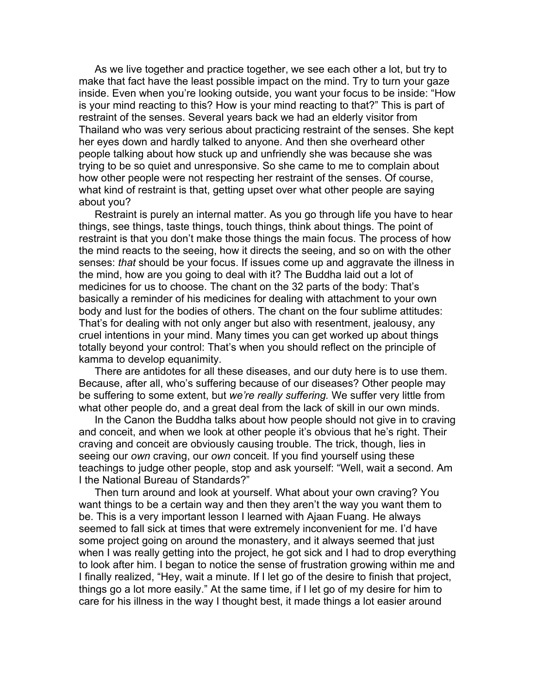As we live together and practice together, we see each other a lot, but try to make that fact have the least possible impact on the mind. Try to turn your gaze inside. Even when you're looking outside, you want your focus to be inside: "How is your mind reacting to this? How is your mind reacting to that?" This is part of restraint of the senses. Several years back we had an elderly visitor from Thailand who was very serious about practicing restraint of the senses. She kept her eyes down and hardly talked to anyone. And then she overheard other people talking about how stuck up and unfriendly she was because she was trying to be so quiet and unresponsive. So she came to me to complain about how other people were not respecting her restraint of the senses. Of course, what kind of restraint is that, getting upset over what other people are saying about you?

Restraint is purely an internal matter. As you go through life you have to hear things, see things, taste things, touch things, think about things. The point of restraint is that you don't make those things the main focus. The process of how the mind reacts to the seeing, how it directs the seeing, and so on with the other senses: *that* should be your focus. If issues come up and aggravate the illness in the mind, how are you going to deal with it? The Buddha laid out a lot of medicines for us to choose. The chant on the 32 parts of the body: That's basically a reminder of his medicines for dealing with attachment to your own body and lust for the bodies of others. The chant on the four sublime attitudes: That's for dealing with not only anger but also with resentment, jealousy, any cruel intentions in your mind. Many times you can get worked up about things totally beyond your control: That's when you should reflect on the principle of kamma to develop equanimity.

There are antidotes for all these diseases, and our duty here is to use them. Because, after all, who's suffering because of our diseases? Other people may be suffering to some extent, but *we're really suffering.* We suffer very little from what other people do, and a great deal from the lack of skill in our own minds.

In the Canon the Buddha talks about how people should not give in to craving and conceit, and when we look at other people it's obvious that he's right. Their craving and conceit are obviously causing trouble. The trick, though, lies in seeing our *own* craving, our *own* conceit. If you find yourself using these teachings to judge other people, stop and ask yourself: "Well, wait a second. Am I the National Bureau of Standards?"

Then turn around and look at yourself. What about your own craving? You want things to be a certain way and then they aren't the way you want them to be. This is a very important lesson I learned with Ajaan Fuang. He always seemed to fall sick at times that were extremely inconvenient for me. I'd have some project going on around the monastery, and it always seemed that just when I was really getting into the project, he got sick and I had to drop everything to look after him. I began to notice the sense of frustration growing within me and I finally realized, "Hey, wait a minute. If I let go of the desire to finish that project, things go a lot more easily." At the same time, if I let go of my desire for him to care for his illness in the way I thought best, it made things a lot easier around